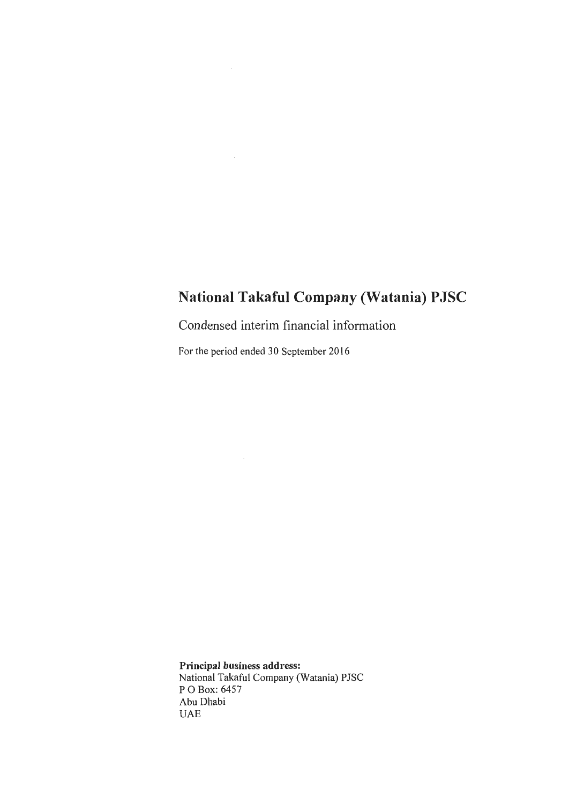Condensed interim financial information

For the period ended 30 September 2016

Principal business address: National Takaful Company (Watania) PJSC P 0 Box: 6457 Abu Dhabi UAE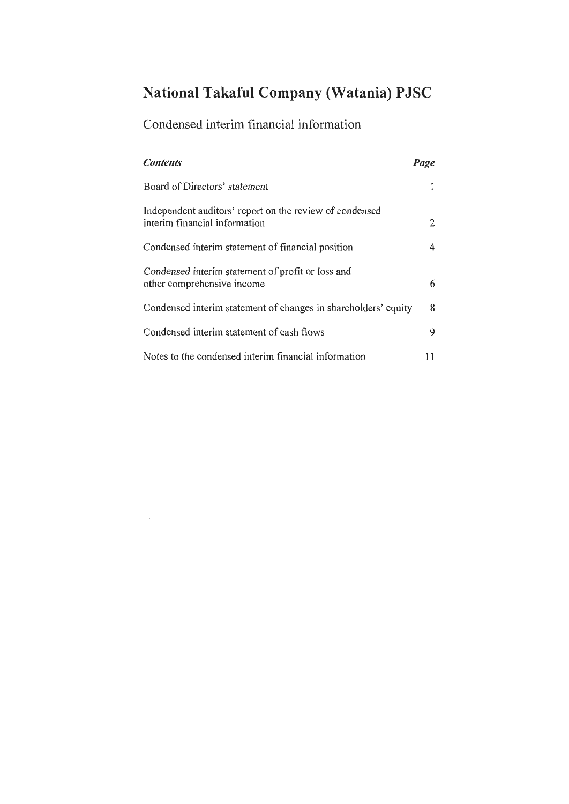## Condensed interim financial information

 $\Delta\phi$  .

| <b>Contents</b>                                                                          | Page |
|------------------------------------------------------------------------------------------|------|
| Board of Directors' statement                                                            |      |
| Independent auditors' report on the review of condensed<br>interim financial information | 2    |
| Condensed interim statement of financial position                                        | 4    |
| Condensed interim statement of profit or loss and<br>other comprehensive income          | 6    |
| Condensed interim statement of changes in shareholders' equity                           | 8    |
| Condensed interim statement of cash flows                                                | 9    |
| Notes to the condensed interim financial information                                     |      |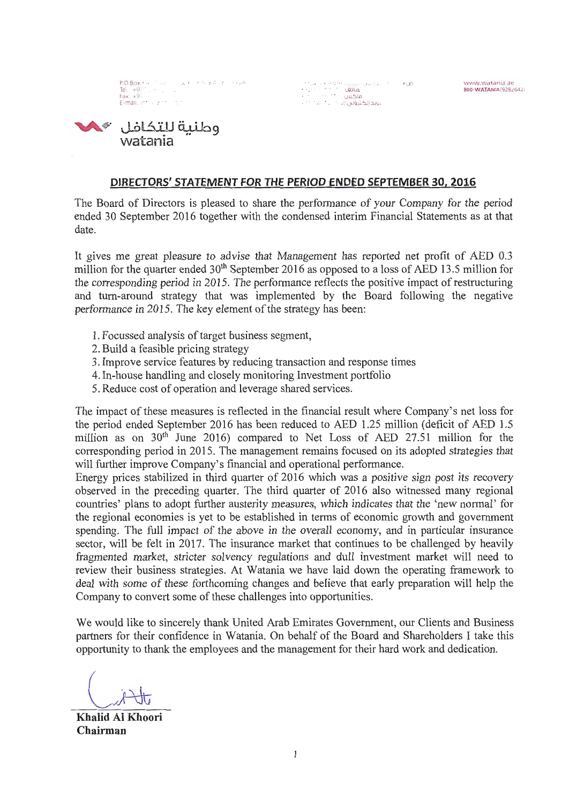P.O.Box 646, M. Grant Arthur Arthur China Tel. +97<br>Fax. +97 E-mail.  $\mathbf{r}$ 

o.i::u.oll<lupllw ilo)JI.'-""'" l.1£ov .u. I ·~'.'I *(* "\'t' .' i ',\ l...oJ <sup>t</sup>~VI ( 'Ir IJ, .. U~ <sup>o</sup> .<br>بايد الكتروني e.

1..~N1\ watani a.ac 800·WATANIA(92820.l )



#### DIRECTORS' STATEMENT FOR THE PERIOD ENDED SEPTEMBER 30, 2016

The Board of Directors is pleased to share the performance of your Company for the period ended 30 September 2016 together with the condensed interim Financial Statements as at that date.

It gives me great pleasure to advise that Management has reported net profit of AED 0.3 million for the quarter ended 30<sup>th</sup> September 2016 as opposed to a loss of AED 13.5 million for the corresponding period in 2015. The performance reflects the positive impact of restructuring and tum-around strategy that was implemented by the Board following the negative performance in 2015. The key element of the strategy has been:

- 1. Focussed analysis of target business segment,
- 2. Build a feasible pricing strategy
- 3. Improve service features by reducing transaction and response times
- 4. In-house handling and closely monitoring Investment portfolio
- 5. Reduce cost of operation and leverage shared services.

The impact of these measures is reflected in the financial result where Company's net loss for the period ended September 2016 has been reduced to AED 1.25 million (deficit of AED 1.5 million as on 30<sup>th</sup> June 2016) compared to Net Loss of AED 27.51 million for the corresponding period in 2015. The management remains focused on its adopted strategies that will further improve Company's financial and operational performance.

Energy prices stabilized in third quarter of 2016 which was a positive sign post its recovery observed in the preceding quarter. The third quarter of 2016 also witnessed many regional countries' plans to adopt further austerity measures, which indicates that the 'new normal' for the regional economies is yet to be established in terms of economic growth and government spending. The full impact of the above in the overall economy, and in particular insurance sector, will be felt in 2017. The insurance market that continues to be challenged by heavily fragmented market, stricter solvency regulations and dull investment market will need to review their business strategies. At Watania we have laid down the operating framework to deal with some of these forthcoming changes and believe that early preparation will help the Company to convert some of these challenges into opportunities.

We would like to sincerely thank United Arab Emirates Government, our Clients and Business partners for their confidence in Watania. On behalf of the Board and Shareholders I take this opportunity to thank the employees and the management for their hard work and dedication.

Khalid Al Khoori Chairman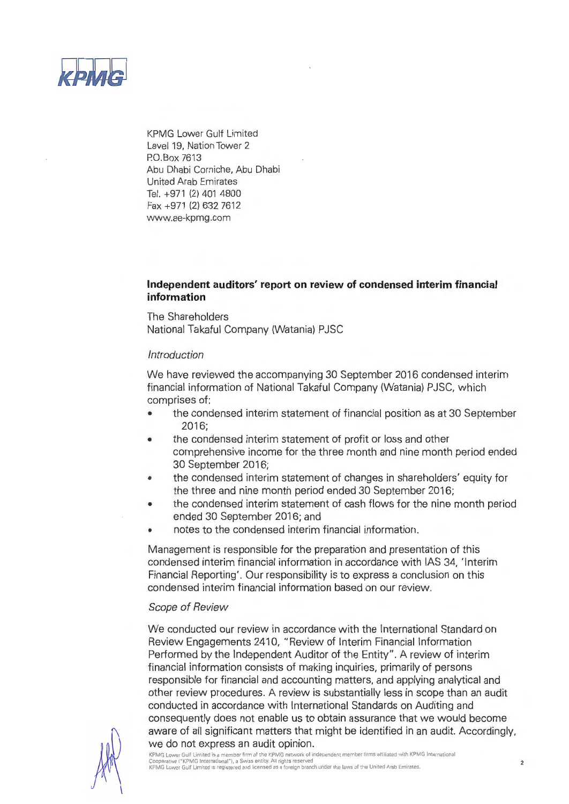

KPMG Lower Gulf Limited Level 19, Nation Tower 2 PO.Box 7613 Abu Dhabi Corniche, Abu Dhabi United Arab Emirates Tel. +971 (2) 401 4800 Fax +971 (2) 632 7612 www.ae-kpmg.com

#### **Independent auditors' report on review of condensed interim financial information**

The Shareholders National Takaful Company (Watania) PJSC

#### Introduction

We have reviewed the accompanying 30 September 2016 condensed interim financial information of National Takaful Company (Watania) PJSC, which comprises of:

- the condensed interim statement of financial position as at 30 September 2016;
- the condensed interim statement of profit or loss and other comprehensive income for the three month and nine month period ended 30 September 2016;
- the condensed interim statement of changes in shareholders' equity for the three and nine month period ended 30 September 2016;
- the condensed interim statement of cash flows for the nine month period ended 30 September 2016; and
- notes to the condensed interim financial information.

Management is responsible for the preparation and presentation of this condensed interim financial information in accordance with IAS 34, 'Interim Financial Reporting'. Our responsibility is to express a conclusion on this condensed interim financial information based on our review.

#### Scope of Review

We conducted our review in accordance with the International Standard on Review Engagements 2410, "Review of Interim Financial Information Performed by the Independent Auditor of the Entity". A review of interim financial information consists of making inquiries, primarily of persons responsible for financial and accounting matters, and applying analytical and other review procedures. A review is substantially less in scope than an audit conducted in accordance with International Standards on Auditing and consequently does not enable us to obtain assurance that we would become aware of all significant matters that might be identified in an audit. Accordingly, we do not express an audit opinion.<br>KPMG Lower Gulf Limited is a member firm of the KPMG network of independent member firms affiliated with KPMG International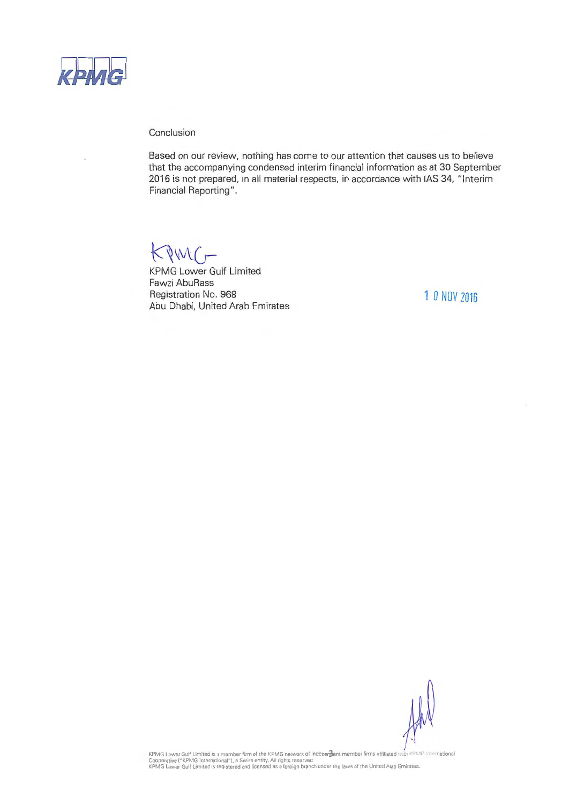

Conclusion

Based on our review, nothing has come to our attention that causes us to believe that the accompanying condensed interim financial information as at 30 September 2016 is not prepared, in all material respects, in accordance with IAS 34, "Interim Financial Reporting".

 $KIMC-$ 

KPMG Lower Gulf Limited Fawzi AbuRass Registration No. 968 Abu Dhabi, United Arab Emirates

1 *0* NOV 2016

KPMG Lower Guif Limited is a member firm of the KPMG network of indepenjent member lirms affiliated.vith KPMG Intern ationa<br>Cooperative ("KPMG International"), a Swiss entity. All rights reserved<br>KPMG Lower Guif Limited is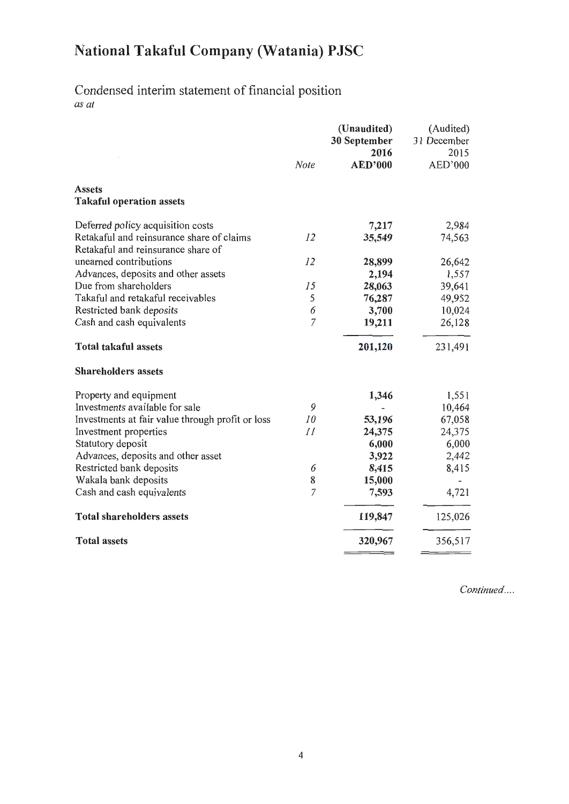# Condensed interim statement of financial position

*as at* 

|                                                                                 | <b>Note</b> | (Unaudited)<br>30 September<br>2016<br><b>AED'000</b> | (Audited)<br>31 December<br>2015<br>AED'000 |
|---------------------------------------------------------------------------------|-------------|-------------------------------------------------------|---------------------------------------------|
| <b>Assets</b><br><b>Takaful operation assets</b>                                |             |                                                       |                                             |
| Deferred policy acquisition costs                                               |             | 7,217                                                 | 2,984                                       |
| Retakaful and reinsurance share of claims<br>Retakaful and reinsurance share of | 12          | 35,549                                                | 74,563                                      |
| unearned contributions                                                          | 12          | 28,899                                                | 26,642                                      |
| Advances, deposits and other assets                                             |             | 2,194                                                 | 1,557                                       |
| Due from shareholders                                                           | 15          | 28,063                                                | 39,641                                      |
| Takaful and retakaful receivables                                               | 5           | 76,287                                                | 49,952                                      |
| Restricted bank deposits                                                        | 6           | 3,700                                                 | 10,024                                      |
| Cash and cash equivalents                                                       | 7           | 19,211                                                | 26,128                                      |
| <b>Total takaful assets</b>                                                     |             | 201,120                                               | 231,491                                     |
| <b>Shareholders assets</b>                                                      |             |                                                       |                                             |
| Property and equipment                                                          |             | 1,346                                                 | 1,551                                       |
| Investments available for sale                                                  | 9           |                                                       | 10,464                                      |
| Investments at fair value through profit or loss                                | 10          | 53,196                                                | 67,058                                      |
| Investment properties                                                           | 11          | 24,375                                                | 24,375                                      |
| Statutory deposit                                                               |             | 6,000                                                 | 6,000                                       |
| Advances, deposits and other asset                                              |             | 3,922                                                 | 2,442                                       |
| Restricted bank deposits                                                        | 6           | 8,415                                                 | 8,415                                       |
| Wakala bank deposits                                                            | 8           | 15,000                                                |                                             |
| Cash and cash equivalents                                                       | 7           | 7,593                                                 | 4,721                                       |
| <b>Total shareholders assets</b>                                                |             | 119,847                                               | 125,026                                     |
| <b>Total assets</b>                                                             |             | 320,967                                               | 356,517                                     |
|                                                                                 |             |                                                       |                                             |

*Continued ....*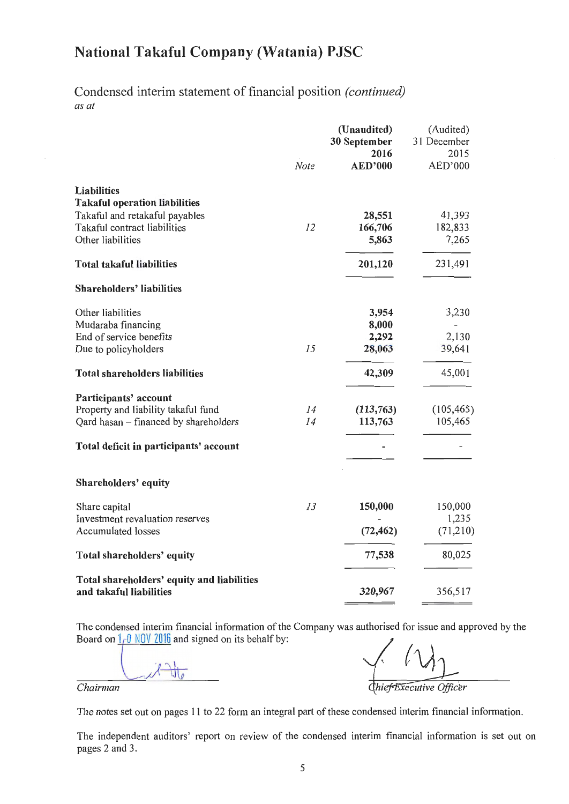Condensed interim statement of financial position *(continued) as at* 

|                                                                       | Note | (Unaudited)<br>30 September<br>2016<br><b>AED'000</b> | (Audited)<br>31 December<br>2015<br>AED'000 |
|-----------------------------------------------------------------------|------|-------------------------------------------------------|---------------------------------------------|
| <b>Liabilities</b>                                                    |      |                                                       |                                             |
| <b>Takaful operation liabilities</b>                                  |      |                                                       |                                             |
| Takaful and retakaful payables                                        |      | 28,551                                                | 41,393                                      |
| Takaful contract liabilities                                          | 12   | 166,706                                               | 182,833                                     |
| Other liabilities                                                     |      | 5,863                                                 | 7,265                                       |
| <b>Total takaful liabilities</b>                                      |      | 201,120                                               | 231,491                                     |
| <b>Shareholders' liabilities</b>                                      |      |                                                       |                                             |
| Other liabilities                                                     |      | 3,954                                                 | 3,230                                       |
| Mudaraba financing                                                    |      | 8,000                                                 |                                             |
| End of service benefits                                               |      | 2,292                                                 | 2,130                                       |
| Due to policyholders                                                  | 15   | 28,063                                                | 39,641                                      |
| <b>Total shareholders liabilities</b>                                 |      | 42,309                                                | 45,001                                      |
| Participants' account                                                 |      |                                                       |                                             |
| Property and liability takaful fund                                   | 14   | (113,763)                                             | (105, 465)                                  |
| Qard hasan - financed by shareholders                                 | 14   | 113,763                                               | 105,465                                     |
| Total deficit in participants' account                                |      |                                                       |                                             |
| Shareholders' equity                                                  |      |                                                       |                                             |
| Share capital                                                         | 13   | 150,000                                               | 150,000                                     |
| Investment revaluation reserves                                       |      |                                                       | 1,235                                       |
| <b>Accumulated losses</b>                                             |      | (72, 462)                                             | (71,210)                                    |
| Total shareholders' equity                                            |      | 77,538                                                | 80,025                                      |
| Total shareholders' equity and liabilities<br>and takaful liabilities |      | 320,967                                               | 356,517                                     |

The condensed interim financial information of the Company was authorised for issue and approved by the Board on  $1 \text{ }\theta$  NOV 2016 and signed on its behalf by:

 $\int_{0}^{1}$ 

Chief Executive Officer

 $\equiv$ 

 $-$ 

*Chairman* 

The notes set out on pages 11 to 22 form an integral part of these condensed interim financial information.

The independent auditors' report on review of the condensed interim financial information is set out on pages 2 and 3.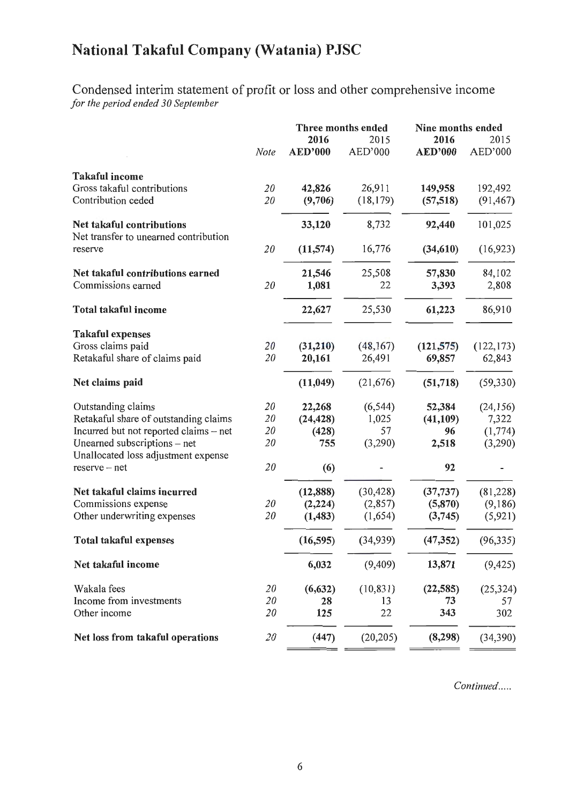Condensed interim statement of profit or loss and other comprehensive income *for the period ended 30 September* 

|                                                                     |      | Three months ended     |                 | Nine months ended      |                 |
|---------------------------------------------------------------------|------|------------------------|-----------------|------------------------|-----------------|
|                                                                     | Note | 2016<br><b>AED'000</b> | 2015<br>AED'000 | 2016<br><b>AED'000</b> | 2015<br>AED'000 |
| <b>Takaful income</b>                                               |      |                        |                 |                        |                 |
| Gross takaful contributions                                         | 20   | 42,826                 | 26,911          | 149,958                | 192,492         |
| Contribution ceded                                                  | 20   | (9,706)                | (18, 179)       | (57,518)               | (91, 467)       |
| Net takaful contributions<br>Net transfer to unearned contribution  |      | 33,120                 | 8,732           | 92,440                 | 101,025         |
| reserve                                                             | 20   | (11,574)               | 16,776          | (34, 610)              | (16, 923)       |
| Net takaful contributions earned                                    |      | 21,546                 | 25,508          | 57,830                 | 84,102          |
| Commissions earned                                                  | 20   | 1,081                  | 22              | 3,393                  | 2,808           |
| <b>Total takaful income</b>                                         |      | 22,627                 | 25,530          | 61,223                 | 86,910          |
| <b>Takaful expenses</b>                                             |      |                        |                 |                        |                 |
| Gross claims paid                                                   | 20   | (31,210)               | (48,167)        | (121, 575)             | (122, 173)      |
| Retakaful share of claims paid                                      | 20   | 20,161                 | 26,491          | 69,857                 | 62,843          |
| Net claims paid                                                     |      | (11, 049)              | (21, 676)       | (51, 718)              | (59, 330)       |
| Outstanding claims                                                  | 20   | 22,268                 | (6, 544)        | 52,384                 | (24, 156)       |
| Retakaful share of outstanding claims                               | 20   | (24, 428)              | 1,025           | (41, 109)              | 7,322           |
| Incurred but not reported claims - net                              | 20   | (428)                  | 57              | 96                     | (1, 774)        |
| Unearned subscriptions - net<br>Unallocated loss adjustment expense | 20   | 755                    | (3,290)         | 2,518                  | (3,290)         |
| $reserve - net$                                                     | 20   | (6)                    |                 | 92                     |                 |
| Net takaful claims incurred                                         |      | (12, 888)              | (30, 428)       | (37, 737)              | (81, 228)       |
| Commissions expense                                                 | 20   | (2, 224)               | (2,857)         | (5,870)                | (9,186)         |
| Other underwriting expenses                                         | 20   | (1, 483)               | (1,654)         | (3,745)                | (5, 921)        |
| <b>Total takaful expenses</b>                                       |      | (16, 595)              | (34, 939)       | (47, 352)              | (96, 335)       |
| Net takaful income                                                  |      | 6,032                  | (9,409)         | 13,871                 | (9, 425)        |
| Wakala fees                                                         | 20   | (6, 632)               | (10, 831)       | (22, 585)              | (25, 324)       |
| Income from investments                                             | 20   | 28                     | 13              | 73                     | 57              |
| Other income                                                        | 20   | 125                    | 22              | 343                    | 302             |
| Net loss from takaful operations                                    | 20   | (447)                  | (20, 205)       | (8, 298)               | (34, 390)       |

*Continued .....*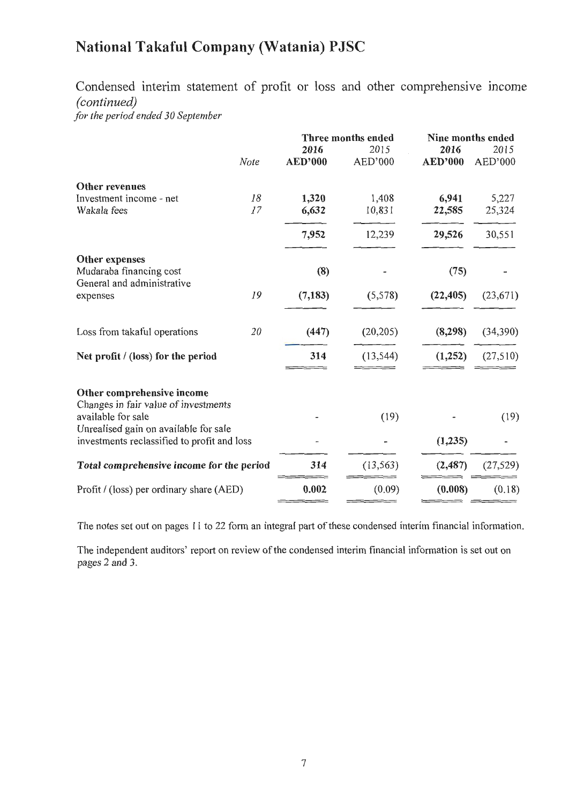Condensed interim statement of profit or loss and other comprehensive mcome *(continued)* 

*for the period ended 30 September* 

|                                                                    |      | Three months ended |           | Nine months ended |           |
|--------------------------------------------------------------------|------|--------------------|-----------|-------------------|-----------|
|                                                                    |      | 2016               | 2015      | 2016              | 2015      |
|                                                                    | Note | <b>AED'000</b>     | AED'000   | <b>AED'000</b>    | AED'000   |
| Other revenues                                                     |      |                    |           |                   |           |
| Investment income - net                                            | 18   | 1,320              | 1,408     | 6,941             | 5,227     |
| Wakala fees                                                        | 17   | 6,632              | 10,831    | 22,585            | 25,324    |
|                                                                    |      | 7,952              | 12,239    | 29,526            | 30,551    |
| Other expenses                                                     |      |                    |           |                   |           |
| Mudaraba financing cost                                            |      | (8)                |           | (75)              |           |
| General and administrative<br>expenses                             | 19   | (7, 183)           | (5,578)   | (22, 405)         | (23,671)  |
|                                                                    |      |                    |           |                   |           |
| Loss from takaful operations                                       | 20   | (447)              | (20, 205) | (8, 298)          | (34,390)  |
| Net profit / (loss) for the period                                 |      | 314                | (13, 544) | (1,252)           | (27,510)  |
|                                                                    |      |                    |           |                   |           |
| Other comprehensive income<br>Changes in fair value of investments |      |                    |           |                   |           |
| available for sale<br>Unrealised gain on available for sale        |      |                    | (19)      |                   | (19)      |
| investments reclassified to profit and loss                        |      |                    |           | (1,235)           |           |
| Total comprehensive income for the period                          |      | 314                | (13, 563) | (2, 487)          | (27, 529) |
| Profit / (loss) per ordinary share (AED)                           |      | 0.002              | (0.09)    | (0.008)           | (0.18)    |

The notes set out on pages 11 to 22 form an integral part of these condensed interim financial information.

The independent auditors' report on review of the condensed interim financial information is set out on pages 2 and 3.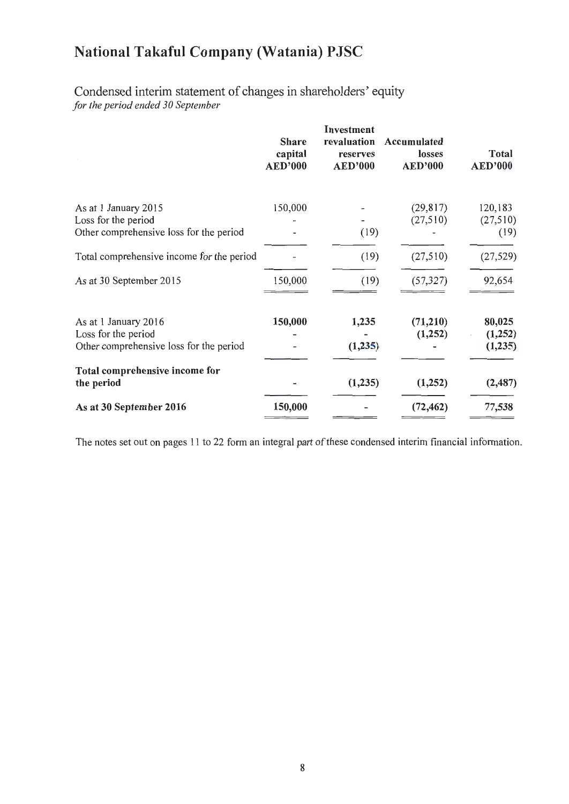### Condensed interim statement of changes in shareholders' equity *for the period ended 30 September*

|                                                                                        | <b>Share</b><br>capital<br><b>AED'000</b> | Investment<br>revaluation<br>reserves<br><b>AED'000</b> | Accumulated<br>losses<br><b>AED'000</b> | <b>Total</b><br><b>AED'000</b> |
|----------------------------------------------------------------------------------------|-------------------------------------------|---------------------------------------------------------|-----------------------------------------|--------------------------------|
| As at 1 January 2015<br>Loss for the period                                            | 150,000                                   |                                                         | (29, 817)<br>(27,510)                   | 120,183<br>(27,510)            |
| Other comprehensive loss for the period                                                |                                           | (19)                                                    |                                         | (19)                           |
| Total comprehensive income for the period                                              |                                           | (19)                                                    | (27,510)                                | (27, 529)                      |
| As at 30 September 2015                                                                | 150,000                                   | (19)                                                    | (57, 327)                               | 92,654                         |
| As at 1 January 2016<br>Loss for the period<br>Other comprehensive loss for the period | 150,000                                   | 1,235<br>(1,235)                                        | (71,210)<br>(1,252)                     | 80,025<br>(1,252)<br>(1,235)   |
| Total comprehensive income for<br>the period                                           |                                           | (1,235)                                                 | (1,252)                                 | (2, 487)                       |
| As at 30 September 2016                                                                | 150,000                                   |                                                         | (72, 462)                               | 77,538                         |

The notes set out on pages 11 to 22 form an integral part of these condensed interim financial information.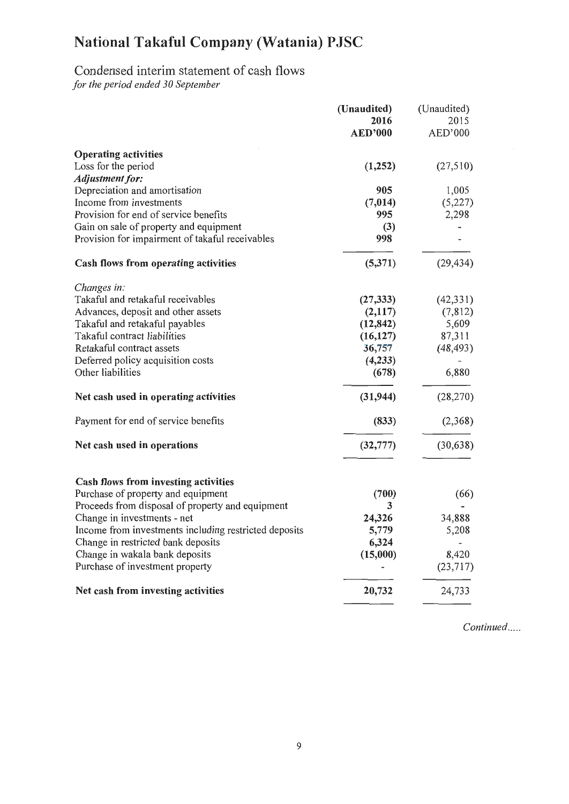## Condensed interim statement of cash flows

*for the period ended 30 September* 

|                                                       | (Unaudited)    | (Unaudited) |
|-------------------------------------------------------|----------------|-------------|
|                                                       | 2016           | 2015        |
|                                                       | <b>AED'000</b> | AED'000     |
| <b>Operating activities</b>                           |                |             |
| Loss for the period                                   | (1,252)        | (27,510)    |
| Adjustment for:                                       |                |             |
| Depreciation and amortisation                         | 905            | 1,005       |
| Income from investments                               | (7, 014)       | (5,227)     |
| Provision for end of service benefits                 | 995            | 2,298       |
| Gain on sale of property and equipment                | (3)            |             |
| Provision for impairment of takaful receivables       | 998            |             |
| Cash flows from operating activities                  | (5,371)        | (29, 434)   |
| Changes in:                                           |                |             |
| Takaful and retakaful receivables                     | (27, 333)      | (42, 331)   |
| Advances, deposit and other assets                    | (2,117)        | (7,812)     |
| Takaful and retakaful payables                        | (12, 842)      | 5,609       |
| Takaful contract liabilities                          | (16, 127)      | 87,311      |
| Retakaful contract assets                             | 36,757         | (48, 493)   |
| Deferred policy acquisition costs                     | (4,233)        |             |
| Other liabilities                                     | (678)          | 6,880       |
| Net cash used in operating activities                 | (31, 944)      | (28, 270)   |
| Payment for end of service benefits                   | (833)          | (2,368)     |
| Net cash used in operations                           | (32, 777)      | (30, 638)   |
|                                                       |                |             |
| <b>Cash flows from investing activities</b>           |                |             |
| Purchase of property and equipment                    | (700)          | (66)        |
| Proceeds from disposal of property and equipment      | 3              |             |
| Change in investments - net                           | 24,326         | 34,888      |
| Income from investments including restricted deposits | 5,779          | 5,208       |
| Change in restricted bank deposits                    | 6,324          |             |
| Change in wakala bank deposits                        | (15,000)       | 8,420       |
| Purchase of investment property                       |                | (23,717)    |
| Net cash from investing activities                    | 20,732         | 24,733      |

*Continued .....*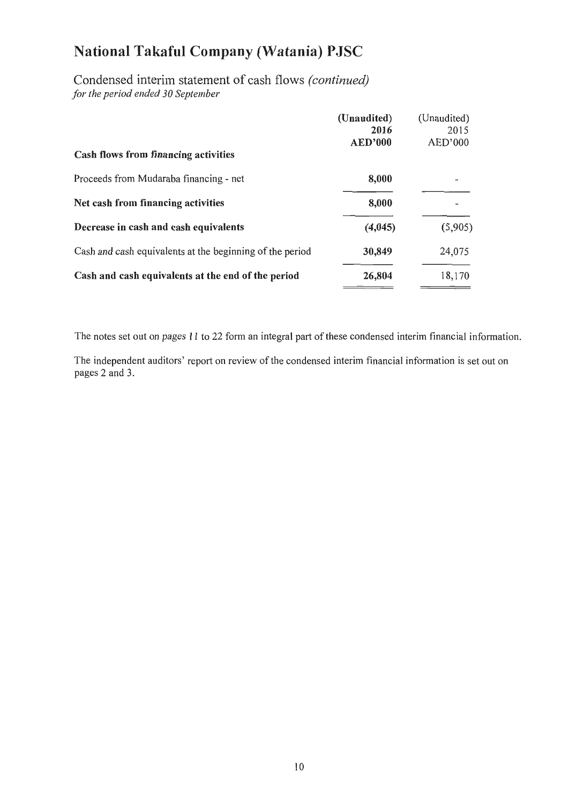Condensed interim statement of cash flows *(continued) for the period ended 30 September* 

|                                                          | (Unaudited)<br>2016<br><b>AED'000</b> | (Unaudited)<br>2015<br>AED'000 |
|----------------------------------------------------------|---------------------------------------|--------------------------------|
| Cash flows from financing activities                     |                                       |                                |
| Proceeds from Mudaraba financing - net                   | 8,000                                 |                                |
| Net cash from financing activities                       | 8,000                                 |                                |
| Decrease in cash and cash equivalents                    | (4,045)                               | (5,905)                        |
| Cash and cash equivalents at the beginning of the period | 30,849                                | 24,075                         |
| Cash and cash equivalents at the end of the period       | 26,804                                | 18,170                         |

The notes set out on pages 11 to 22 form an integral part of these condensed interim financial information.

The independent auditors' report on review of the condensed interim financial information is set out on pages 2 and 3.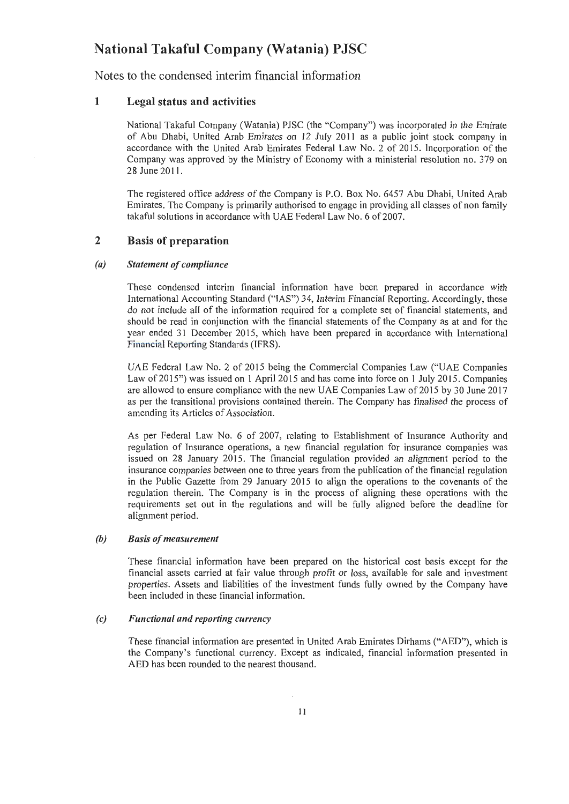Notes to the condensed interim financial information

#### 1 Legal status and activities

National Takaful Company (Watania) PJSC (the "Company") was incorporated in the Emirate of Abu Dhabi, United Arab Emirates on 12 July 2011 as a public joint stock company in accordance with the United Arab Emirates Federal Law No. 2 of 2015. Incorporation of the Company was approved by the Ministry of Economy with a ministerial resolution no. 379 on 28 June 2011.

The registered office address of the Company is P.O. Box No. 6457 Abu Dhabi, United Arab Emirates. The Company is primarily authorised to engage in providing all classes of non family takaful solutions in accordance with UAE Federal Law No. 6 of 2007.

#### 2 Basis of preparation

#### *(a) Statement of compliance*

These condensed interim financial information have been prepared in accordance with International Accounting Standard ("IAS") 34, Interim Financial Reporting. Accordingly, these do not include all of the information required for a complete set of financial statements, and should be read in conjunction with the financial statements of the Company as at and for the year ended 31 December 2015, which have been prepared in accordance with International Financial Reporting Standards (IFRS).

UAE Federal Law No. 2 of 2015 being the Commercial Companies Law ("UAE Companies Law of 2015") was issued on I April 2015 and has come into force on I July 2015. Companies are allowed to ensure compliance with the new UAE Companies Law of 2015 by 30 June 2017 as per the transitional provisions contained therein. The Company has finalised the process of amending its Articles of Association.

As per Federal Law No. 6 of 2007, relating to Establishment of Insurance Authority and regulation of Insurance operations, a new financial regulation for insurance companies was issued on 28 January 2015. The financial regulation provided an alignment period to the insurance companies between one to three years from the publication of the financial regulation in the Public Gazette from 29 January 2015 to align the operations to the covenants of the regulation therein. The Company is in the process of aligning these operations with the requirements set out in the regulations and will be fully aligned before the deadline for alignment period.

#### *(b) Basis of measurement*

These financial information have been prepared on the historical cost basis except for the financial assets carried at fair value through profit or loss, available for sale and investment properties. Assets and liabilities of the investment funds fully owned by the Company have been included in these financial information.

#### *(c) Functional and reporting currency*

These financial information are presented in United Arab Emirates Dirhams ("AED"), which is the Company's functional currency. Except as indicated, financial information presented m AED has been rounded to the nearest thousand.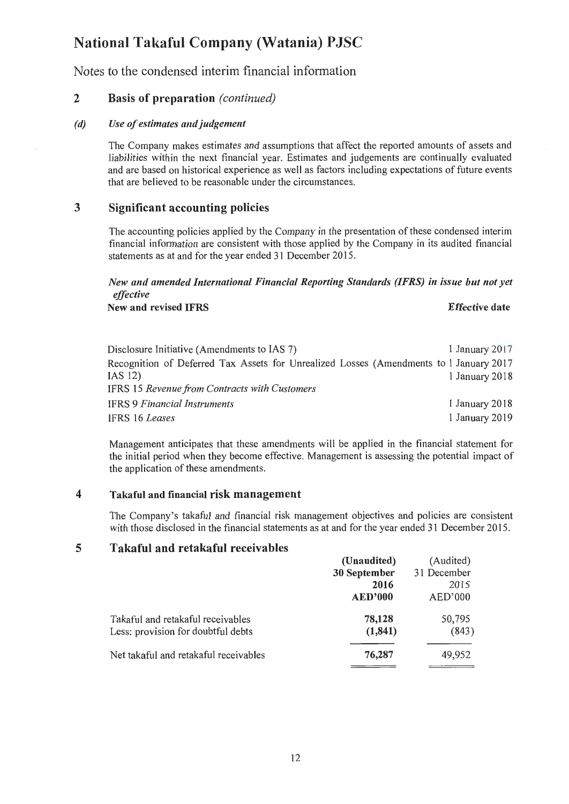Notes to the condensed interim financial information

### 2 Basis of preparation *(continued)*

#### *(d)* Use of estimates and judgement

The Company makes estimates and assumptions that affect the reported amounts of assets and liabilities within the next financial year. Estimates and judgements are continually evaluated and are based on historical experience as well as factors including expectations of future events that are believed to be reasonable under the circumstances.

### 3 Significant accounting policies

The accounting policies applied by the Company in the presentation of these condensed interim financial information are consistent with those applied by the Company in its audited financial statements as at and for the year ended 31 December 2015.

#### *New and amended International Financial Reporting Standards (IFRS) in issue but not yet effective*

New and revised IFRS **Effective** date

| Disclosure Initiative (Amendments to IAS 7)                                            | $1$ January $2017$ |
|----------------------------------------------------------------------------------------|--------------------|
| Recognition of Deferred Tax Assets for Unrealized Losses (Amendments to I January 2017 |                    |
| IAS 12)                                                                                | 1 January 2018     |
| <b>IFRS 15 Revenue from Contracts with Customers</b>                                   |                    |
| <b>IFRS 9 Financial Instruments</b>                                                    | 1 January 2018     |
| IFRS 16 Leases                                                                         | 1 January 2019     |

Management anticipates that these amendments will be applied in the financial statement for the initial period when they become effective. Management is assessing the potential impact of the application of these amendments.

#### 4 Takaful and financial risk management

The Company's takaful and financial risk management objectives and policies are consistent with those disclosed in the financial statements as at and for the year ended 31 December 2015.

#### 5 Takaful and retakaful receivables

|                                       | (Unaudited)    | (Audited)   |
|---------------------------------------|----------------|-------------|
|                                       | 30 September   | 31 December |
|                                       | 2016           | 2015        |
|                                       | <b>AED'000</b> | AED'000     |
| Takaful and retakaful receivables     | 78,128         | 50,795      |
| Less: provision for doubtful debts    | (1, 841)       | (843)       |
| Net takaful and retakaful receivables | 76,287         | 49,952      |
|                                       |                |             |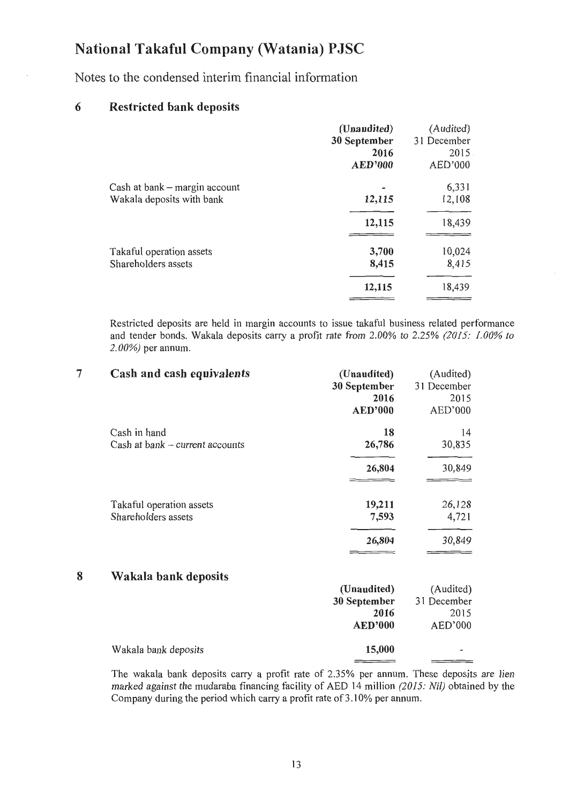Notes to the condensed interim financial information

### 6 Restricted bank deposits

Wakala bank deposits

|                                                            | (Unaudited)<br>30 September<br>2016<br><b>AED'000</b> | (Audited)<br>31 December<br>2015<br>AED'000 |
|------------------------------------------------------------|-------------------------------------------------------|---------------------------------------------|
| Cash at bank – margin account<br>Wakala deposits with bank | 12,115                                                | 6,331<br>12,108                             |
|                                                            | 12,115                                                | 18,439                                      |
| Takaful operation assets<br>Shareholders assets            | 3,700<br>8,415                                        | 10,024<br>8,415                             |
|                                                            | 12,115                                                | 18,439                                      |

Restricted deposits are held in margin accounts to issue takaful business related performance and tender bonds. Wakala deposits carry a profit rate from 2.00% to 2.25% *(2015: 1.00% to 2. 00%)* per annum.

| 7 | Cash and cash equivalents                       | (Unaudited)<br>30 September<br>2016<br><b>AED'000</b> | (Audited)<br>31 December<br>2015<br>AED'000 |
|---|-------------------------------------------------|-------------------------------------------------------|---------------------------------------------|
|   | Cash in hand<br>Cash at bank - current accounts | 18<br>26,786                                          | 14<br>30,835                                |
|   |                                                 | 26,804                                                | 30,849                                      |
|   | Takaful operation assets<br>Shareholders assets | 19,211<br>7,593<br>26,804                             | 26,128<br>4,721<br>30,849                   |
| 8 | Wakala bank deposits                            | (Unaudited)<br>30 September<br>2016<br><b>AED'000</b> | (Audited)<br>31 December<br>2015<br>AED'000 |
|   |                                                 |                                                       |                                             |

The wakala bank deposits carry a profit rate of 2.35% per annum. These deposits are lien marked against the mudaraba financing facility of AED 14 million *(2015: Nil)* obtained by the Company during the period which carry a profit rate of 3 .10% per annum.

15,000

 $\overline{\phantom{a}}$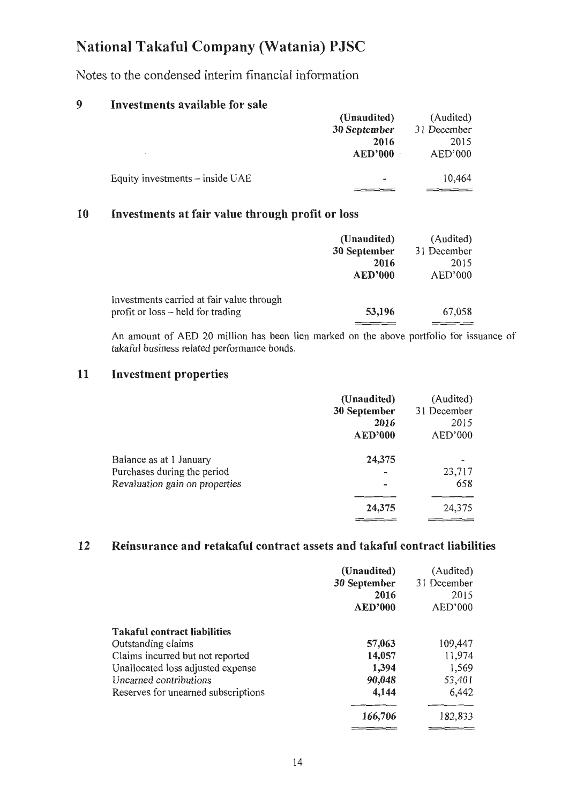Notes to the condensed interim financial information

### 9 Investments available for sale

|                                   | (Unaudited)              | (Audited)   |
|-----------------------------------|--------------------------|-------------|
|                                   | 30 September             | 31 December |
|                                   | 2016                     | 2015        |
|                                   | <b>AED'000</b>           | AED'000     |
|                                   |                          |             |
| Equity investments $-$ inside UAE | $\overline{\phantom{a}}$ | 10,464      |
|                                   |                          |             |

### 10 Investments at fair value through profit or loss

|                                           | (Unaudited)    | (Audited)   |
|-------------------------------------------|----------------|-------------|
|                                           | 30 September   | 31 December |
|                                           | 2016           | 2015        |
|                                           | <b>AED'000</b> | AED'000     |
| Investments carried at fair value through |                |             |
| profit or loss – held for trading         | 53,196         | 67,058      |
|                                           |                |             |

An amount of AED 20 million has been lien marked on the above portfolio for issuance of takaful business related performance bonds.

### 11 Investment properties

|                                                               | (Unaudited)<br>30 September | (Audited)<br>31 December |
|---------------------------------------------------------------|-----------------------------|--------------------------|
|                                                               | 2016<br><b>AED'000</b>      | 2015<br>AED'000          |
|                                                               |                             |                          |
| Balance as at 1 January                                       | 24,375                      |                          |
|                                                               |                             | 23,717                   |
|                                                               |                             | 658                      |
|                                                               | 24,375                      | 24,375                   |
| Purchases during the period<br>Revaluation gain on properties |                             |                          |

### 12 Reinsurance and retakaful contract assets and takaful contract liabilities

|                                     | (Unaudited)<br>30 September<br>2016<br><b>AED'000</b> | (Audited)<br>31 December<br>2015<br>AED'000 |
|-------------------------------------|-------------------------------------------------------|---------------------------------------------|
| <b>Takaful contract liabilities</b> |                                                       |                                             |
| Outstanding claims                  | 57,063                                                | 109,447                                     |
| Claims incurred but not reported    | 14,057                                                | 11,974                                      |
| Unallocated loss adjusted expense   | 1,394                                                 | 1,569                                       |
| Unearned contributions              | 90,048                                                | 53,401                                      |
| Reserves for unearned subscriptions | 4,144                                                 | 6,442                                       |
|                                     | 166,706                                               | 182,833                                     |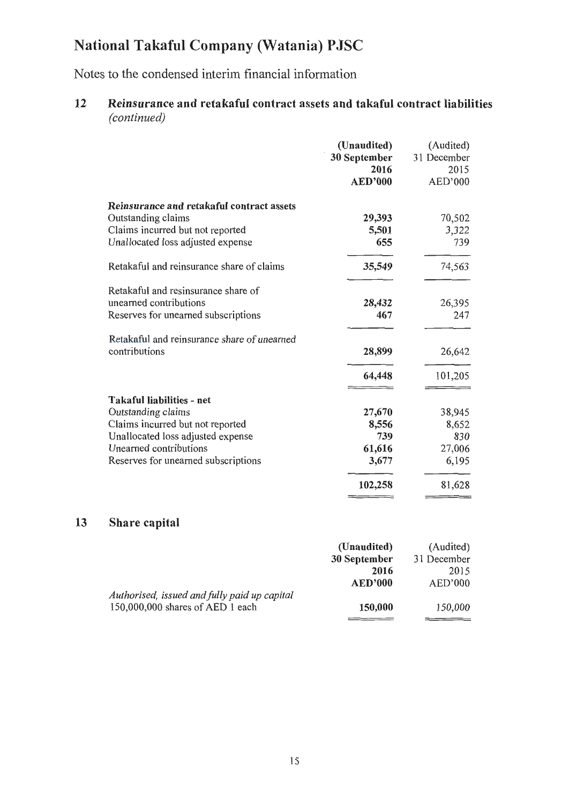Notes to the condensed interim financial information

### 12 Reinsurance and retakaful contract assets and takaful contract liabilities *(continued)*

|                                                                                                                                                                                           | (Unaudited)<br>30 September<br>2016<br><b>AED'000</b> | (Audited)<br>31 December<br>2015<br>AED'000 |
|-------------------------------------------------------------------------------------------------------------------------------------------------------------------------------------------|-------------------------------------------------------|---------------------------------------------|
| Reinsurance and retakaful contract assets<br>Outstanding claims                                                                                                                           | 29,393                                                | 70,502                                      |
| Claims incurred but not reported<br>Unallocated loss adjusted expense                                                                                                                     | 5,501<br>655                                          | 3,322<br>739                                |
| Retakaful and reinsurance share of claims                                                                                                                                                 | 35,549                                                | 74,563                                      |
| Retakaful and resinsurance share of<br>unearned contributions<br>Reserves for unearned subscriptions                                                                                      | 28,432<br>467                                         | 26,395<br>247                               |
| Retakaful and reinsurance share of unearned<br>contributions                                                                                                                              | 28,899                                                | 26,642                                      |
|                                                                                                                                                                                           | 64,448                                                | 101,205                                     |
| Takaful liabilities - net<br>Outstanding claims<br>Claims incurred but not reported<br>Unallocated loss adjusted expense<br>Unearned contributions<br>Reserves for unearned subscriptions | 27,670<br>8,556<br>739<br>61,616<br>3,677             | 38,945<br>8,652<br>830<br>27,006<br>6,195   |
|                                                                                                                                                                                           | 102,258                                               | 81,628                                      |

### 13 Share capital

|                                              | (Unaudited)    | (Audited)   |
|----------------------------------------------|----------------|-------------|
|                                              | 30 September   | 31 December |
|                                              | 2016           | 2015        |
|                                              | <b>AED'000</b> | AED'000     |
| Authorised, issued and fully paid up capital |                |             |
| 150,000,000 shares of AED 1 each             | 150,000        | 150,000     |
|                                              |                |             |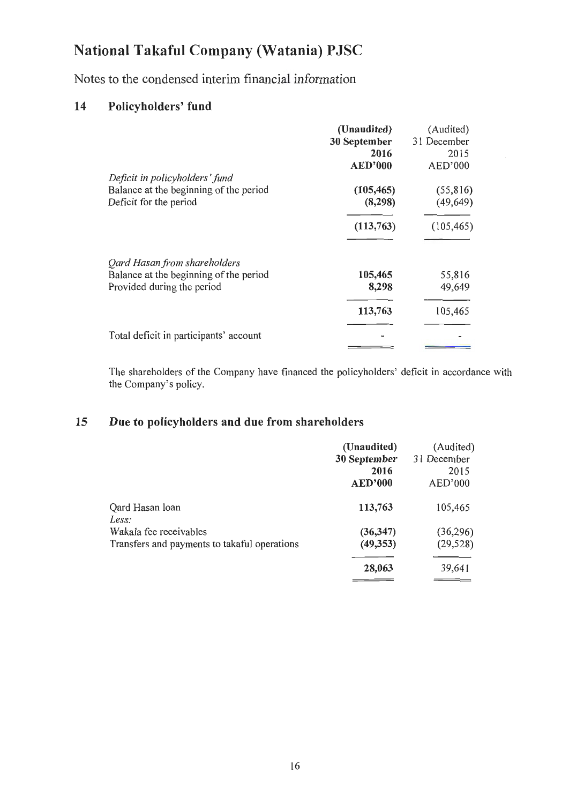Notes to the condensed interim financial information

### 14 Policyholders' fund

|                                                                                                      | (Unaudited)<br>30 September<br>2016<br><b>AED'000</b> | (Audited)<br>31 December<br>2015<br>AED'000 |
|------------------------------------------------------------------------------------------------------|-------------------------------------------------------|---------------------------------------------|
| Deficit in policyholders' fund<br>Balance at the beginning of the period<br>Deficit for the period   | (105, 465)<br>(8, 298)                                | (55, 816)<br>(49, 649)                      |
|                                                                                                      | (113,763)                                             | (105, 465)                                  |
| Qard Hasan from shareholders<br>Balance at the beginning of the period<br>Provided during the period | 105,465<br>8,298                                      | 55,816<br>49,649                            |
|                                                                                                      | 113,763                                               | 105,465                                     |
| Total deficit in participants' account                                                               |                                                       |                                             |

The shareholders of the Company have financed the policyholders' deficit in accordance with the Company's policy.

### 15 Due to policyholders and due from shareholders

|                                                                                 | (Unaudited)<br>30 September<br>2016<br><b>AED'000</b> | (Audited)<br>31 December<br>2015<br>AED'000 |
|---------------------------------------------------------------------------------|-------------------------------------------------------|---------------------------------------------|
| Qard Hasan loan                                                                 | 113,763                                               | 105,465                                     |
| Less:<br>Wakala fee receivables<br>Transfers and payments to takaful operations | (36, 347)<br>(49,353)                                 | (36,296)<br>(29, 528)                       |
|                                                                                 | 28,063                                                | 39,641                                      |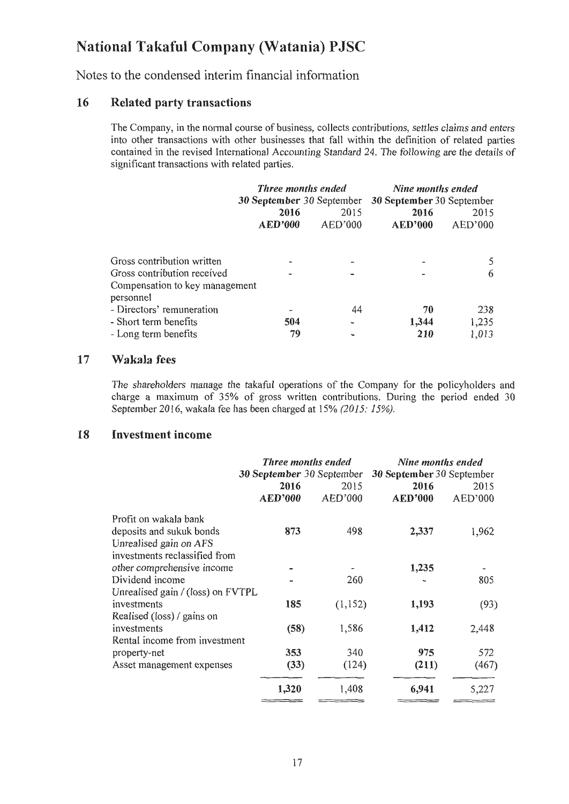Notes to the condensed interim financial information

#### 16 Related party transactions

The Company, in the normal course of business, collects contributions, settles claims and enters into other transactions with other businesses that fall within the definition of related patties contained in the revised International Accounting Standard 24. The following are the details of significant transactions with related parties.

|                                                                                             | <b>Three months ended</b><br>30 September 30 September |                 | Nine months ended<br>30 September 30 September |                       |
|---------------------------------------------------------------------------------------------|--------------------------------------------------------|-----------------|------------------------------------------------|-----------------------|
|                                                                                             | 2016<br><b>AED'000</b>                                 | 2015<br>AED'000 | 2016<br><b>AED'000</b>                         | 2015<br>AED'000       |
| Gross contribution written<br>Gross contribution received<br>Compensation to key management |                                                        |                 |                                                | 6                     |
| personnel<br>- Directors' remuneration<br>- Short term benefits<br>- Long term benefits     | 504<br>79                                              | 44              | 70<br>1,344<br>210                             | 238<br>1,235<br>1,013 |

#### 17 Wakala fees

The shareholders manage the takaful operations of the Company for the policyholders and charge a maximum of 35% of gross written contributions. During the period ended 30 September 2016, wakala fee has been charged at 15% *(2015: 15%).* 

#### 18 Investment income

|                                                                                                              | <b>Three months ended</b><br>30 September 30 September |                 | Nine months ended<br>30 September 30 September |                 |
|--------------------------------------------------------------------------------------------------------------|--------------------------------------------------------|-----------------|------------------------------------------------|-----------------|
|                                                                                                              | 2016<br><b>AED'000</b>                                 | 2015<br>AED'000 | 2016<br><b>AED'000</b>                         | 2015<br>AED'000 |
| Profit on wakala bank<br>deposits and sukuk bonds<br>Unrealised gain on AFS<br>investments reclassified from | 873                                                    | 498             | 2,337                                          | 1,962           |
| other comprehensive income                                                                                   |                                                        |                 | 1,235                                          |                 |
| Dividend income                                                                                              |                                                        | 260             |                                                | 805             |
| Unrealised gain / (loss) on FVTPL                                                                            |                                                        |                 |                                                |                 |
| investments                                                                                                  | 185                                                    | (1, 152)        | 1,193                                          | (93)            |
| Realised (loss) / gains on                                                                                   |                                                        |                 |                                                |                 |
| investments                                                                                                  | (58)                                                   | 1,586           | 1,412                                          | 2,448           |
| Rental income from investment                                                                                |                                                        |                 |                                                |                 |
| property-net                                                                                                 | 353                                                    | 340             | 975                                            | 572             |
| Asset management expenses                                                                                    | (33)                                                   | (124)           | (211)                                          | (467)           |
|                                                                                                              | 1,320                                                  | 1,408           | 6,941                                          | 5,227           |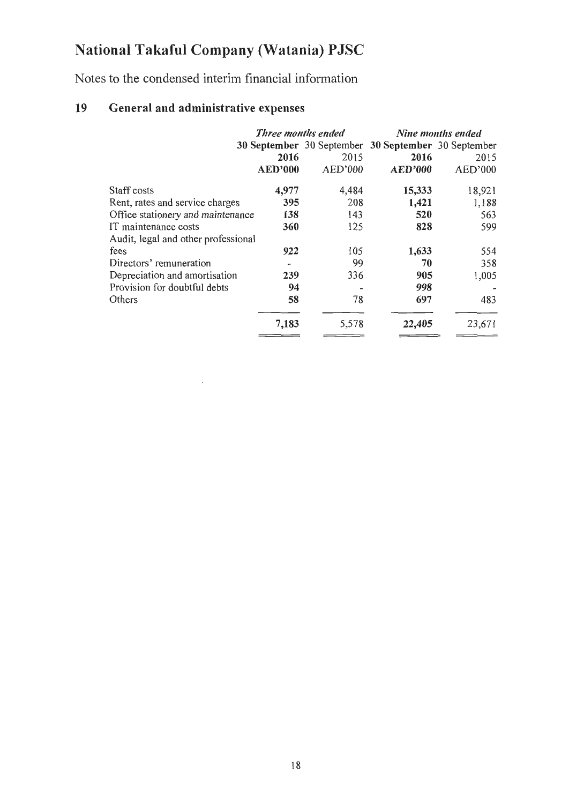Notes to the condensed interim financial information

### 19 General and administrative expenses

 $\mathcal{A}$ 

|                                          |         |                    | Nine months ended                                             |
|------------------------------------------|---------|--------------------|---------------------------------------------------------------|
|                                          |         |                    |                                                               |
| 2016                                     | 2015    | 2016               | 2015                                                          |
| <b>AED'000</b>                           | AED'000 | <b>AED'000</b>     | AED'000                                                       |
| 4,977                                    | 4,484   | 15,333             | 18,921                                                        |
| 395                                      | 208     | 1,421              | 1,188                                                         |
| 138<br>Office stationery and maintenance | 143     | 520                | 563                                                           |
| 360                                      | 125     | 828                | 599                                                           |
| Audit, legal and other professional      |         |                    |                                                               |
| 922                                      | 105     | 1,633              | 554                                                           |
|                                          | 99      | 70                 | 358                                                           |
| 239                                      | 336     | 905                | 1,005                                                         |
| 94                                       |         | 998                |                                                               |
| 58                                       | 78      | 697                | 483                                                           |
| 7,183                                    | 5,578   | 22,405             | 23,671                                                        |
|                                          |         | Three months ended | <b>30 September</b> 30 September<br>30 September 30 September |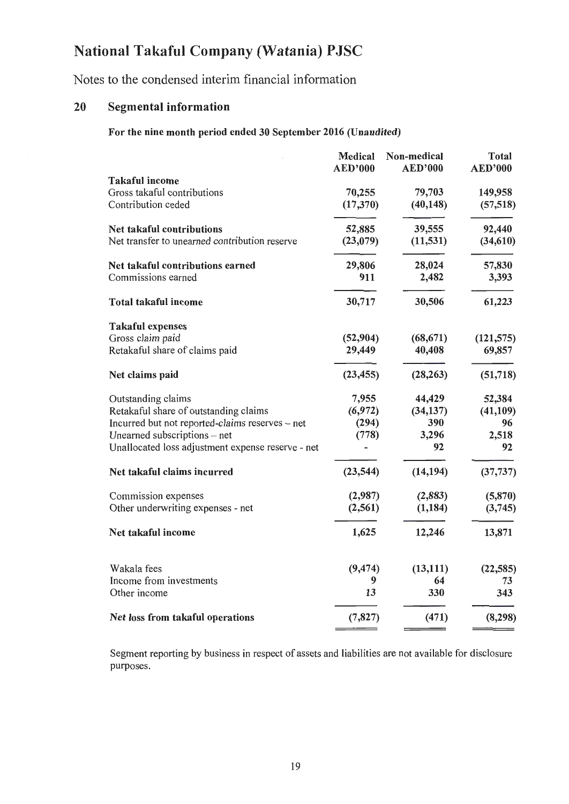Notes to the condensed interim financial information

### 20 Segmental information

For the nine month period ended 30 September 2016 (Unaudited)

|                                                   | <b>Medical</b><br><b>AED'000</b> | Non-medical<br><b>AED'000</b> | <b>Total</b><br><b>AED'000</b> |
|---------------------------------------------------|----------------------------------|-------------------------------|--------------------------------|
| <b>Takaful income</b>                             |                                  |                               |                                |
| Gross takaful contributions                       | 70,255                           | 79,703                        | 149,958                        |
| Contribution ceded                                | (17, 370)                        | (40, 148)                     | (57, 518)                      |
| Net takaful contributions                         | 52,885                           | 39,555                        | 92,440                         |
| Net transfer to unearned contribution reserve     | (23,079)                         | (11, 531)                     | (34, 610)                      |
| Net takaful contributions earned                  | 29,806                           | 28,024                        | 57,830                         |
| Commissions earned                                | 911                              | 2,482                         | 3,393                          |
| <b>Total takaful income</b>                       | 30,717                           | 30,506                        | 61,223                         |
| <b>Takaful expenses</b>                           |                                  |                               |                                |
| Gross claim paid                                  | (52, 904)                        | (68, 671)                     | (121, 575)                     |
| Retakaful share of claims paid                    | 29,449                           | 40,408                        | 69,857                         |
| Net claims paid                                   | (23, 455)                        | (28, 263)                     | (51, 718)                      |
| Outstanding claims                                | 7,955                            | 44,429                        | 52,384                         |
| Retakaful share of outstanding claims             | (6,972)                          | (34, 137)                     | (41, 109)                      |
| Incurred but not reported-claims reserves - net   | (294)                            | 390                           | 96                             |
| Unearned subscriptions - net                      | (778)                            | 3,296                         | 2,518                          |
| Unallocated loss adjustment expense reserve - net |                                  | 92                            | 92                             |
| Net takaful claims incurred                       | (23, 544)                        | (14, 194)                     | (37, 737)                      |
| Commission expenses                               | (2,987)                          | (2,883)                       | (5, 870)                       |
| Other underwriting expenses - net                 | (2, 561)                         | (1, 184)                      | (3,745)                        |
| Net takaful income                                | 1,625                            | 12,246                        | 13,871                         |
| Wakala fees                                       | (9, 474)                         | (13, 111)                     | (22, 585)                      |
| Income from investments                           | 9                                | 64                            | 73                             |
| Other income                                      | 13                               | 330                           | 343                            |
| Net loss from takaful operations                  | (7, 827)                         | (471)                         | (8, 298)                       |

Segment reporting by business in respect of assets and liabilities are not available for disclosure purposes.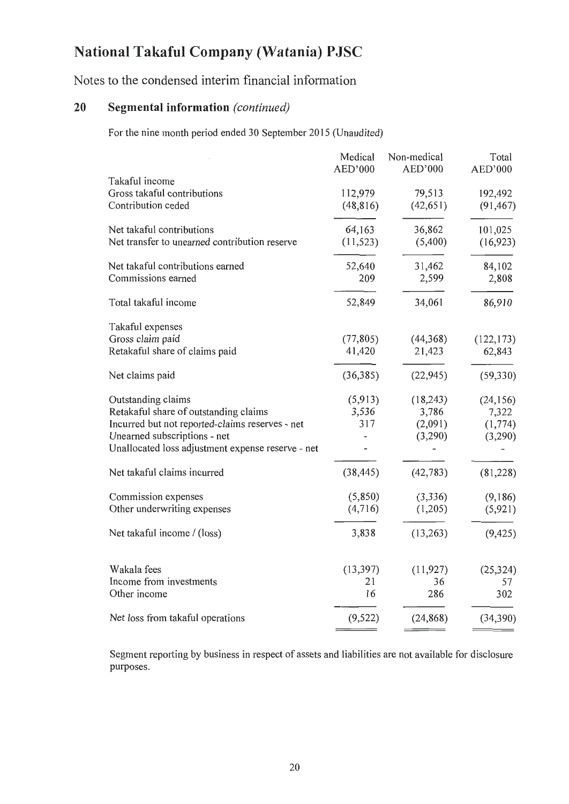Notes to the condensed interim financial information

### **20 Segmental information** *(continued)*

For the nine month period ended 30 September 2015 (Unaudited)

|                                                                                                                                                                                                     | Medical<br>AED'000      | Non-medical<br>AED'000                   | Total<br>AED'000                          |
|-----------------------------------------------------------------------------------------------------------------------------------------------------------------------------------------------------|-------------------------|------------------------------------------|-------------------------------------------|
| Takaful income<br>Gross takaful contributions<br>Contribution ceded                                                                                                                                 | 112,979<br>(48, 816)    | 79,513<br>(42, 651)                      | 192,492<br>(91, 467)                      |
| Net takaful contributions<br>Net transfer to unearned contribution reserve                                                                                                                          | 64,163<br>(11, 523)     | 36,862<br>(5,400)                        | 101,025<br>(16, 923)                      |
| Net takaful contributions earned<br>Commissions earned                                                                                                                                              | 52,640<br>209           | 31,462<br>2,599                          | 84,102<br>2,808                           |
| Total takaful income                                                                                                                                                                                | 52,849                  | 34,061                                   | 86,910                                    |
| Takaful expenses<br>Gross claim paid<br>Retakaful share of claims paid                                                                                                                              | (77, 805)<br>41,420     | (44, 368)<br>21,423                      | (122, 173)<br>62,843                      |
| Net claims paid                                                                                                                                                                                     | (36, 385)               | (22, 945)                                | (59, 330)                                 |
| Outstanding claims<br>Retakaful share of outstanding claims<br>Incurred but not reported-claims reserves - net<br>Unearned subscriptions - net<br>Unallocated loss adjustment expense reserve - net | (5,913)<br>3,536<br>317 | (18, 243)<br>3,786<br>(2,091)<br>(3,290) | (24, 156)<br>7,322<br>(1, 774)<br>(3,290) |
| Net takaful claims incurred                                                                                                                                                                         | (38, 445)               | (42, 783)                                | (81,228)                                  |
| Commission expenses<br>Other underwriting expenses                                                                                                                                                  | (5,850)<br>(4,716)      | (3,336)<br>(1,205)                       | (9,186)<br>(5,921)                        |
| Net takaful income / (loss)                                                                                                                                                                         | 3,838                   | (13,263)                                 | (9, 425)                                  |
| Wakala fees<br>Income from investments<br>Other income                                                                                                                                              | (13, 397)<br>21<br>16   | (11, 927)<br>36<br>286                   | (25, 324)<br>57<br>302                    |
| Net loss from takaful operations                                                                                                                                                                    | (9, 522)                | (24, 868)                                | (34, 390)                                 |
|                                                                                                                                                                                                     |                         |                                          |                                           |

Segment reporting by business in respect of assets and liabilities are not available for disclosure purposes.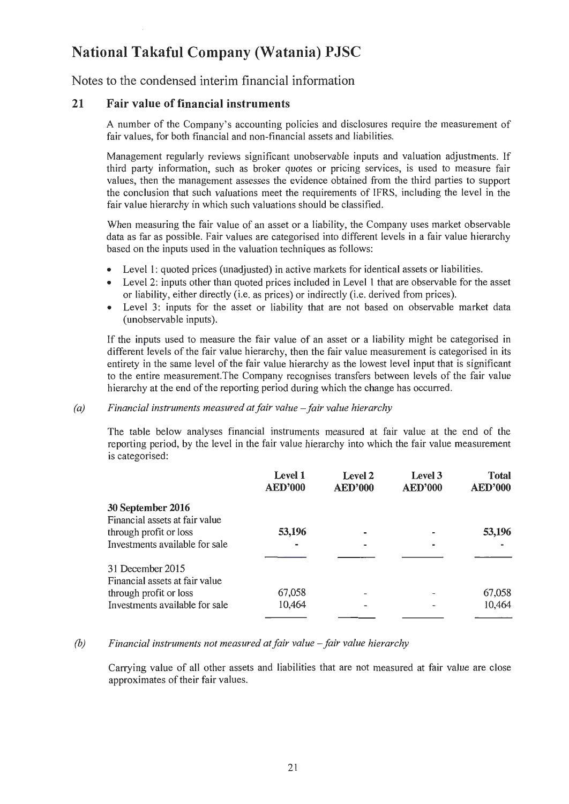Notes to the condensed interim financial information

#### 21 Fair value of financial instruments

A number of the Company's accounting policies and disclosures require the measurement of fair values, for both financial and non-financial assets and liabilities.

Management regularly reviews significant unobservable inputs and valuation adjustments. If third patty information, such as broker quotes or pricing services, is used to measure fair values, then the management assesses the evidence obtained from the third parties to support the conclusion that such valuations meet the requirements of IFRS, including the level in the fair value hierarchy in which such valuations should be classified.

When measuring the fair value of an asset or a liability, the Company uses market observable data as far as possible. Fair values are categorised into different levels in a fair value hierarchy based on the inputs used in the valuation techniques as follows:

- Level I: quoted prices (unadjusted) in active markets for identical assets or liabilities.
- Level 2: inputs other than quoted prices included in Level 1 that are observable for the asset or liability, either directly (i.e. as prices) or indirectly (i.e. derived from prices).
- Level 3: inputs for the asset or liability that are not based on observable market data (unobservable inputs).

If the inputs used to measure the fair value of an asset or a liability might be categorised in different levels of the fair value hierarchy, then the fair value measurement is categorised in its entirety in the same level of the fair value hierarchy as the lowest level input that is significant to the entire measurement.The Company recognises transfers between levels of the fair value hierarchy at the end of the reporting period during which the change has occurred.

#### *(a)* Financial instruments measured at fair value - fair value hierarchy

The table below analyses financial instruments measured at fair value at the end of the reporting period, by the level in the fair value hierarchy into which the fair value measurement is categorised:

|                                | Level 1<br><b>AED'000</b> | Level 2<br><b>AED'000</b> | Level 3<br><b>AED'000</b> | <b>Total</b><br><b>AED'000</b> |
|--------------------------------|---------------------------|---------------------------|---------------------------|--------------------------------|
| 30 September 2016              |                           |                           |                           |                                |
| Financial assets at fair value |                           |                           |                           |                                |
| through profit or loss         | 53,196                    |                           |                           | 53,196                         |
| Investments available for sale |                           |                           |                           |                                |
|                                |                           |                           |                           |                                |
| 31 December 2015               |                           |                           |                           |                                |
| Financial assets at fair value |                           |                           |                           |                                |
| through profit or loss         | 67,058                    |                           |                           | 67,058                         |
| Investments available for sale | 10,464                    |                           |                           | 10,464                         |
|                                |                           |                           |                           |                                |

#### *(b)* Financial instruments not measured at fair value – fair value hierarchy

Carrying value of all other assets and liabilities that are not measured at fair value are close approximates of their fair values.